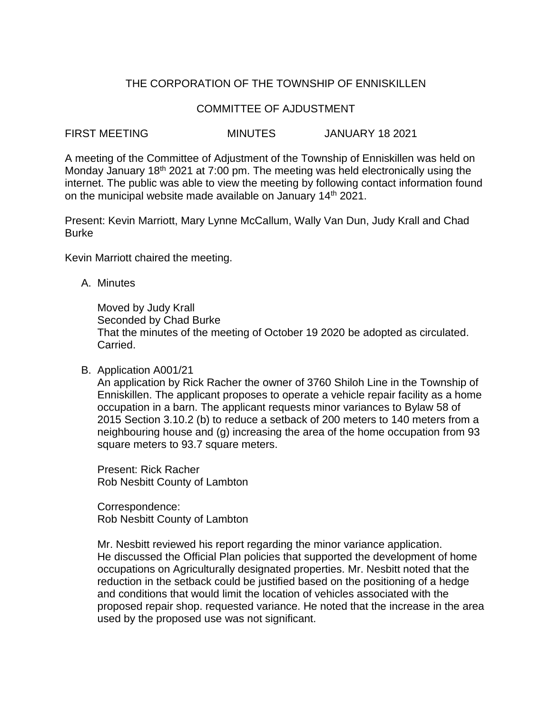# THE CORPORATION OF THE TOWNSHIP OF ENNISKILLEN

#### COMMITTEE OF AJDUSTMENT

## FIRST MEETING MINUTES JANUARY 18 2021

A meeting of the Committee of Adjustment of the Township of Enniskillen was held on Monday January 18<sup>th</sup> 2021 at 7:00 pm. The meeting was held electronically using the internet. The public was able to view the meeting by following contact information found on the municipal website made available on January 14<sup>th</sup> 2021.

Present: Kevin Marriott, Mary Lynne McCallum, Wally Van Dun, Judy Krall and Chad Burke

Kevin Marriott chaired the meeting.

A. Minutes

Moved by Judy Krall Seconded by Chad Burke That the minutes of the meeting of October 19 2020 be adopted as circulated. Carried.

#### B. Application A001/21

An application by Rick Racher the owner of 3760 Shiloh Line in the Township of Enniskillen. The applicant proposes to operate a vehicle repair facility as a home occupation in a barn. The applicant requests minor variances to Bylaw 58 of 2015 Section 3.10.2 (b) to reduce a setback of 200 meters to 140 meters from a neighbouring house and (g) increasing the area of the home occupation from 93 square meters to 93.7 square meters.

Present: Rick Racher Rob Nesbitt County of Lambton

Correspondence: Rob Nesbitt County of Lambton

Mr. Nesbitt reviewed his report regarding the minor variance application. He discussed the Official Plan policies that supported the development of home occupations on Agriculturally designated properties. Mr. Nesbitt noted that the reduction in the setback could be justified based on the positioning of a hedge and conditions that would limit the location of vehicles associated with the proposed repair shop. requested variance. He noted that the increase in the area used by the proposed use was not significant.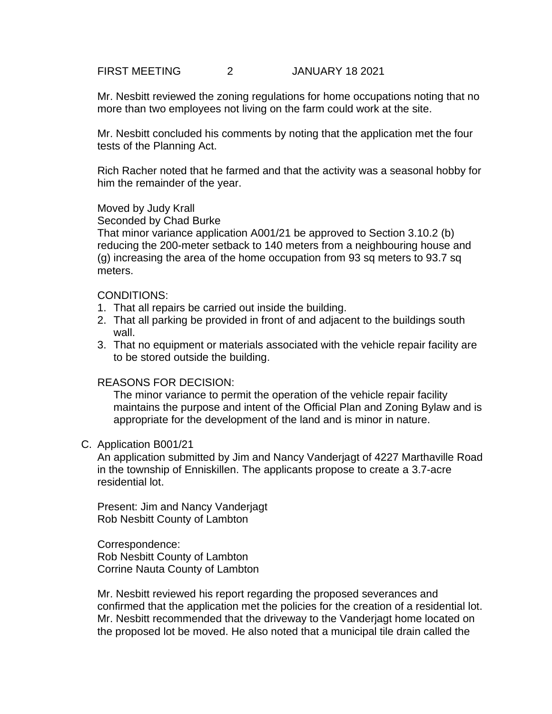FIRST MEETING 2 JANUARY 18 2021

Mr. Nesbitt reviewed the zoning regulations for home occupations noting that no more than two employees not living on the farm could work at the site.

Mr. Nesbitt concluded his comments by noting that the application met the four tests of the Planning Act.

Rich Racher noted that he farmed and that the activity was a seasonal hobby for him the remainder of the year.

## Moved by Judy Krall

Seconded by Chad Burke

That minor variance application A001/21 be approved to Section 3.10.2 (b) reducing the 200-meter setback to 140 meters from a neighbouring house and (g) increasing the area of the home occupation from 93 sq meters to 93.7 sq meters.

#### CONDITIONS:

- 1. That all repairs be carried out inside the building.
- 2. That all parking be provided in front of and adjacent to the buildings south wall.
- 3. That no equipment or materials associated with the vehicle repair facility are to be stored outside the building.

## REASONS FOR DECISION:

The minor variance to permit the operation of the vehicle repair facility maintains the purpose and intent of the Official Plan and Zoning Bylaw and is appropriate for the development of the land and is minor in nature.

#### C. Application B001/21

An application submitted by Jim and Nancy Vanderjagt of 4227 Marthaville Road in the township of Enniskillen. The applicants propose to create a 3.7-acre residential lot.

Present: Jim and Nancy Vanderjagt Rob Nesbitt County of Lambton

Correspondence: Rob Nesbitt County of Lambton Corrine Nauta County of Lambton

Mr. Nesbitt reviewed his report regarding the proposed severances and confirmed that the application met the policies for the creation of a residential lot. Mr. Nesbitt recommended that the driveway to the Vanderjagt home located on the proposed lot be moved. He also noted that a municipal tile drain called the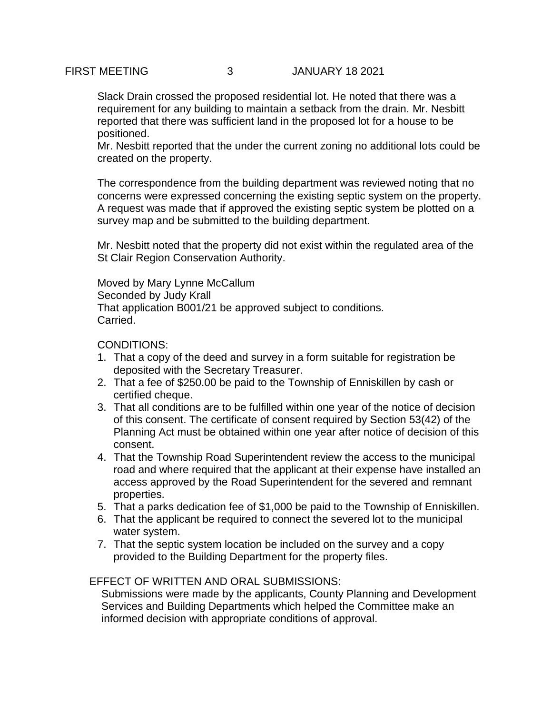## FIRST MEETING 3 JANUARY 18 2021

Slack Drain crossed the proposed residential lot. He noted that there was a requirement for any building to maintain a setback from the drain. Mr. Nesbitt reported that there was sufficient land in the proposed lot for a house to be positioned.

Mr. Nesbitt reported that the under the current zoning no additional lots could be created on the property.

The correspondence from the building department was reviewed noting that no concerns were expressed concerning the existing septic system on the property. A request was made that if approved the existing septic system be plotted on a survey map and be submitted to the building department.

Mr. Nesbitt noted that the property did not exist within the regulated area of the St Clair Region Conservation Authority.

Moved by Mary Lynne McCallum Seconded by Judy Krall That application B001/21 be approved subject to conditions. Carried.

CONDITIONS:

- 1. That a copy of the deed and survey in a form suitable for registration be deposited with the Secretary Treasurer.
- 2. That a fee of \$250.00 be paid to the Township of Enniskillen by cash or certified cheque.
- 3. That all conditions are to be fulfilled within one year of the notice of decision of this consent. The certificate of consent required by Section 53(42) of the Planning Act must be obtained within one year after notice of decision of this consent.
- 4. That the Township Road Superintendent review the access to the municipal road and where required that the applicant at their expense have installed an access approved by the Road Superintendent for the severed and remnant properties.
- 5. That a parks dedication fee of \$1,000 be paid to the Township of Enniskillen.
- 6. That the applicant be required to connect the severed lot to the municipal water system.
- 7. That the septic system location be included on the survey and a copy provided to the Building Department for the property files.

## EFFECT OF WRITTEN AND ORAL SUBMISSIONS:

Submissions were made by the applicants, County Planning and Development Services and Building Departments which helped the Committee make an informed decision with appropriate conditions of approval.